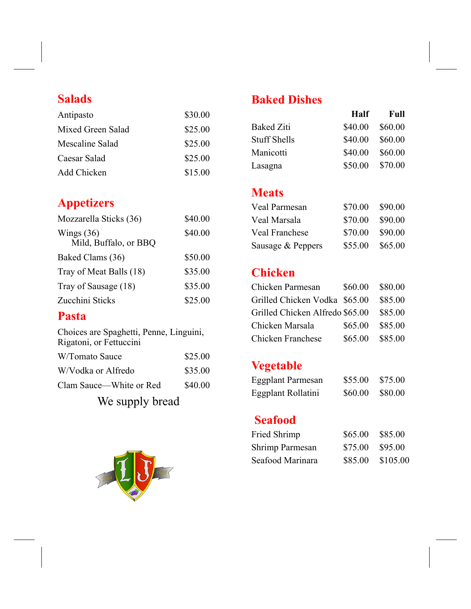### **Salads**

| Antipasto         | \$30.00 |
|-------------------|---------|
| Mixed Green Salad | \$25.00 |
| Mescaline Salad   | \$25.00 |
| Caesar Salad      | \$25.00 |
| Add Chicken       | \$15.00 |

# **Appetizers**

| \$40.00 |
|---------|
| \$40.00 |
| \$50.00 |
| \$35.00 |
| \$35.00 |
| \$25.00 |
|         |

#### **Pasta**

Choices are Spaghetti, Penne, Linguini, Rigatoni, or Fettuccini

| W/Tomato Sauce          | \$25.00 |
|-------------------------|---------|
| W/Vodka or Alfredo      | \$35.00 |
| Clam Sauce—White or Red | \$40.00 |
| We supply bread         |         |



# **Baked Dishes**

|                     | <b>Half</b> | Full    |
|---------------------|-------------|---------|
| <b>Baked Ziti</b>   | \$40.00     | \$60.00 |
| <b>Stuff Shells</b> | \$40.00     | \$60.00 |
| Manicotti           | \$40.00     | \$60.00 |
| Lasagna             | \$50.00     | \$70.00 |

#### **Meats**

| Veal Parmesan         | \$70.00 | \$90.00 |
|-----------------------|---------|---------|
| Veal Marsala          | \$70.00 | \$90.00 |
| <b>Veal Franchese</b> | \$70.00 | \$90.00 |
| Sausage & Peppers     | \$55.00 | \$65.00 |

### **Chicken**

| Chicken Parmesan                | \$60.00 | \$80.00 |
|---------------------------------|---------|---------|
| Grilled Chicken Vodka \$65.00   |         | \$85.00 |
| Grilled Chicken Alfredo \$65.00 |         | \$85.00 |
| Chicken Marsala                 | \$65.00 | \$85.00 |
| <b>Chicken Franchese</b>        | \$65.00 | \$85.00 |

## **Vegetable**

| <b>Eggplant Parmesan</b> | \$55.00 | \$75.00 |
|--------------------------|---------|---------|
| Eggplant Rollatini       | \$60.00 | \$80.00 |

#### **Seafood**

| Fried Shrimp     | \$65.00 \$85.00  |  |
|------------------|------------------|--|
| Shrimp Parmesan  | \$75.00 \$95.00  |  |
| Seafood Marinara | \$85.00 \$105.00 |  |